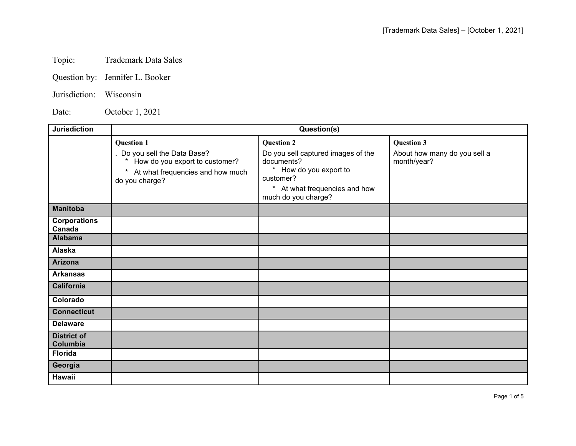## Topic: Trademark Data Sales

- Question by: Jennifer L. Booker
- Jurisdiction: Wisconsin

Date: October 1, 2021

| <b>Jurisdiction</b>            | Question(s)                                                                                                                                       |                                                                                                                                                                      |                                                                  |
|--------------------------------|---------------------------------------------------------------------------------------------------------------------------------------------------|----------------------------------------------------------------------------------------------------------------------------------------------------------------------|------------------------------------------------------------------|
|                                | <b>Question 1</b><br>Do you sell the Data Base?<br>How do you export to customer?<br>At what frequencies and how much<br>$\ast$<br>do you charge? | <b>Question 2</b><br>Do you sell captured images of the<br>documents?<br>* How do you export to<br>customer?<br>* At what frequencies and how<br>much do you charge? | <b>Question 3</b><br>About how many do you sell a<br>month/year? |
| <b>Manitoba</b>                |                                                                                                                                                   |                                                                                                                                                                      |                                                                  |
| <b>Corporations</b><br>Canada  |                                                                                                                                                   |                                                                                                                                                                      |                                                                  |
| <b>Alabama</b>                 |                                                                                                                                                   |                                                                                                                                                                      |                                                                  |
| <b>Alaska</b>                  |                                                                                                                                                   |                                                                                                                                                                      |                                                                  |
| <b>Arizona</b>                 |                                                                                                                                                   |                                                                                                                                                                      |                                                                  |
| <b>Arkansas</b>                |                                                                                                                                                   |                                                                                                                                                                      |                                                                  |
| <b>California</b>              |                                                                                                                                                   |                                                                                                                                                                      |                                                                  |
| Colorado                       |                                                                                                                                                   |                                                                                                                                                                      |                                                                  |
| <b>Connecticut</b>             |                                                                                                                                                   |                                                                                                                                                                      |                                                                  |
| <b>Delaware</b>                |                                                                                                                                                   |                                                                                                                                                                      |                                                                  |
| <b>District of</b><br>Columbia |                                                                                                                                                   |                                                                                                                                                                      |                                                                  |
| <b>Florida</b>                 |                                                                                                                                                   |                                                                                                                                                                      |                                                                  |
| Georgia                        |                                                                                                                                                   |                                                                                                                                                                      |                                                                  |
| Hawaii                         |                                                                                                                                                   |                                                                                                                                                                      |                                                                  |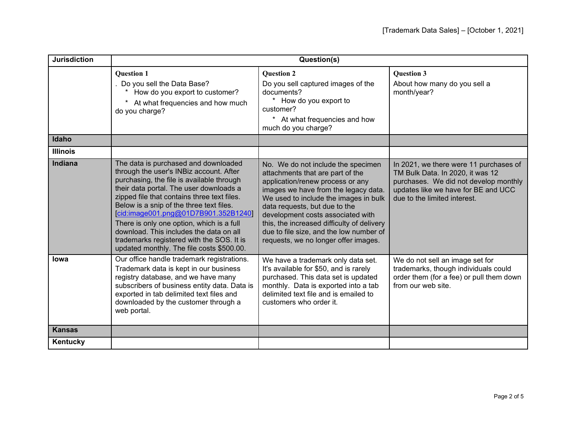| <b>Jurisdiction</b> | Question(s)                                                                                                                                                                                                                                                                                                                                                                                                                                                                                  |                                                                                                                                                                                                                                                                                                                                                                                                    |                                                                                                                                                                                            |
|---------------------|----------------------------------------------------------------------------------------------------------------------------------------------------------------------------------------------------------------------------------------------------------------------------------------------------------------------------------------------------------------------------------------------------------------------------------------------------------------------------------------------|----------------------------------------------------------------------------------------------------------------------------------------------------------------------------------------------------------------------------------------------------------------------------------------------------------------------------------------------------------------------------------------------------|--------------------------------------------------------------------------------------------------------------------------------------------------------------------------------------------|
|                     | <b>Question 1</b><br>Do you sell the Data Base?<br>How do you export to customer?<br>At what frequencies and how much<br>do you charge?                                                                                                                                                                                                                                                                                                                                                      | <b>Question 2</b><br>Do you sell captured images of the<br>documents?<br>*<br>How do you export to<br>customer?<br>* At what frequencies and how<br>much do you charge?                                                                                                                                                                                                                            | <b>Ouestion 3</b><br>About how many do you sell a<br>month/year?                                                                                                                           |
| Idaho               |                                                                                                                                                                                                                                                                                                                                                                                                                                                                                              |                                                                                                                                                                                                                                                                                                                                                                                                    |                                                                                                                                                                                            |
| <b>Illinois</b>     |                                                                                                                                                                                                                                                                                                                                                                                                                                                                                              |                                                                                                                                                                                                                                                                                                                                                                                                    |                                                                                                                                                                                            |
| <b>Indiana</b>      | The data is purchased and downloaded<br>through the user's INBiz account. After<br>purchasing, the file is available through<br>their data portal. The user downloads a<br>zipped file that contains three text files.<br>Below is a snip of the three text files.<br>[cid:image001.png@01D7B901.352B1240]<br>There is only one option, which is a full<br>download. This includes the data on all<br>trademarks registered with the SOS. It is<br>updated monthly. The file costs \$500.00. | No. We do not include the specimen<br>attachments that are part of the<br>application/renew process or any<br>images we have from the legacy data.<br>We used to include the images in bulk<br>data requests, but due to the<br>development costs associated with<br>this, the increased difficulty of delivery<br>due to file size, and the low number of<br>requests, we no longer offer images. | In 2021, we there were 11 purchases of<br>TM Bulk Data. In 2020, it was 12<br>purchases. We did not develop monthly<br>updates like we have for BE and UCC<br>due to the limited interest. |
| <b>lowa</b>         | Our office handle trademark registrations.<br>Trademark data is kept in our business<br>registry database, and we have many<br>subscribers of business entity data. Data is<br>exported in tab delimited text files and<br>downloaded by the customer through a<br>web portal.                                                                                                                                                                                                               | We have a trademark only data set.<br>It's available for \$50, and is rarely<br>purchased. This data set is updated<br>monthly. Data is exported into a tab<br>delimited text file and is emailed to<br>customers who order it.                                                                                                                                                                    | We do not sell an image set for<br>trademarks, though individuals could<br>order them (for a fee) or pull them down<br>from our web site.                                                  |
| <b>Kansas</b>       |                                                                                                                                                                                                                                                                                                                                                                                                                                                                                              |                                                                                                                                                                                                                                                                                                                                                                                                    |                                                                                                                                                                                            |
| Kentucky            |                                                                                                                                                                                                                                                                                                                                                                                                                                                                                              |                                                                                                                                                                                                                                                                                                                                                                                                    |                                                                                                                                                                                            |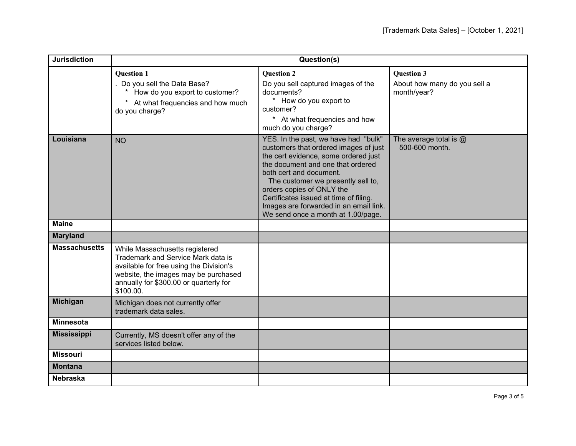| <b>Jurisdiction</b>  | Question(s)                                                                                                                                                                                                    |                                                                                                                                                                                                                                                                                                                                                                                    |                                                                  |
|----------------------|----------------------------------------------------------------------------------------------------------------------------------------------------------------------------------------------------------------|------------------------------------------------------------------------------------------------------------------------------------------------------------------------------------------------------------------------------------------------------------------------------------------------------------------------------------------------------------------------------------|------------------------------------------------------------------|
|                      | <b>Question 1</b><br>Do you sell the Data Base?<br>How do you export to customer?<br>At what frequencies and how much<br>$\ast$<br>do you charge?                                                              | <b>Question 2</b><br>Do you sell captured images of the<br>documents?<br>* How do you export to<br>customer?<br>* At what frequencies and how<br>much do you charge?                                                                                                                                                                                                               | <b>Question 3</b><br>About how many do you sell a<br>month/year? |
| Louisiana            | <b>NO</b>                                                                                                                                                                                                      | YES. In the past, we have had "bulk"<br>customers that ordered images of just<br>the cert evidence, some ordered just<br>the document and one that ordered<br>both cert and document.<br>The customer we presently sell to,<br>orders copies of ONLY the<br>Certificates issued at time of filing.<br>Images are forwarded in an email link.<br>We send once a month at 1.00/page. | The average total is $@$<br>500-600 month.                       |
| <b>Maine</b>         |                                                                                                                                                                                                                |                                                                                                                                                                                                                                                                                                                                                                                    |                                                                  |
| <b>Maryland</b>      |                                                                                                                                                                                                                |                                                                                                                                                                                                                                                                                                                                                                                    |                                                                  |
| <b>Massachusetts</b> | While Massachusetts registered<br>Trademark and Service Mark data is<br>available for free using the Division's<br>website, the images may be purchased<br>annually for \$300.00 or quarterly for<br>\$100.00. |                                                                                                                                                                                                                                                                                                                                                                                    |                                                                  |
| <b>Michigan</b>      | Michigan does not currently offer<br>trademark data sales.                                                                                                                                                     |                                                                                                                                                                                                                                                                                                                                                                                    |                                                                  |
| <b>Minnesota</b>     |                                                                                                                                                                                                                |                                                                                                                                                                                                                                                                                                                                                                                    |                                                                  |
| <b>Mississippi</b>   | Currently, MS doesn't offer any of the<br>services listed below.                                                                                                                                               |                                                                                                                                                                                                                                                                                                                                                                                    |                                                                  |
| <b>Missouri</b>      |                                                                                                                                                                                                                |                                                                                                                                                                                                                                                                                                                                                                                    |                                                                  |
| <b>Montana</b>       |                                                                                                                                                                                                                |                                                                                                                                                                                                                                                                                                                                                                                    |                                                                  |
| <b>Nebraska</b>      |                                                                                                                                                                                                                |                                                                                                                                                                                                                                                                                                                                                                                    |                                                                  |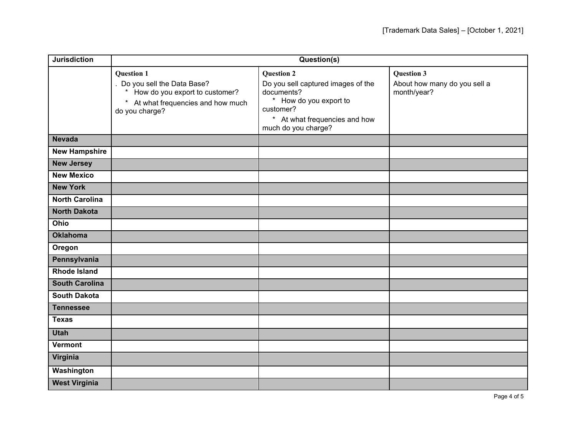| <b>Jurisdiction</b>   | Question(s)                                                                                                                               |                                                                                                                                                                      |                                                                  |
|-----------------------|-------------------------------------------------------------------------------------------------------------------------------------------|----------------------------------------------------------------------------------------------------------------------------------------------------------------------|------------------------------------------------------------------|
|                       | <b>Question 1</b><br>Do you sell the Data Base?<br>How do you export to customer?<br>* At what frequencies and how much<br>do you charge? | <b>Question 2</b><br>Do you sell captured images of the<br>documents?<br>* How do you export to<br>customer?<br>* At what frequencies and how<br>much do you charge? | <b>Question 3</b><br>About how many do you sell a<br>month/year? |
| <b>Nevada</b>         |                                                                                                                                           |                                                                                                                                                                      |                                                                  |
| <b>New Hampshire</b>  |                                                                                                                                           |                                                                                                                                                                      |                                                                  |
| <b>New Jersey</b>     |                                                                                                                                           |                                                                                                                                                                      |                                                                  |
| <b>New Mexico</b>     |                                                                                                                                           |                                                                                                                                                                      |                                                                  |
| <b>New York</b>       |                                                                                                                                           |                                                                                                                                                                      |                                                                  |
| <b>North Carolina</b> |                                                                                                                                           |                                                                                                                                                                      |                                                                  |
| <b>North Dakota</b>   |                                                                                                                                           |                                                                                                                                                                      |                                                                  |
| Ohio                  |                                                                                                                                           |                                                                                                                                                                      |                                                                  |
| <b>Oklahoma</b>       |                                                                                                                                           |                                                                                                                                                                      |                                                                  |
| Oregon                |                                                                                                                                           |                                                                                                                                                                      |                                                                  |
| Pennsylvania          |                                                                                                                                           |                                                                                                                                                                      |                                                                  |
| <b>Rhode Island</b>   |                                                                                                                                           |                                                                                                                                                                      |                                                                  |
| <b>South Carolina</b> |                                                                                                                                           |                                                                                                                                                                      |                                                                  |
| <b>South Dakota</b>   |                                                                                                                                           |                                                                                                                                                                      |                                                                  |
| <b>Tennessee</b>      |                                                                                                                                           |                                                                                                                                                                      |                                                                  |
| <b>Texas</b>          |                                                                                                                                           |                                                                                                                                                                      |                                                                  |
| <b>Utah</b>           |                                                                                                                                           |                                                                                                                                                                      |                                                                  |
| <b>Vermont</b>        |                                                                                                                                           |                                                                                                                                                                      |                                                                  |
| Virginia              |                                                                                                                                           |                                                                                                                                                                      |                                                                  |
| Washington            |                                                                                                                                           |                                                                                                                                                                      |                                                                  |
| <b>West Virginia</b>  |                                                                                                                                           |                                                                                                                                                                      |                                                                  |